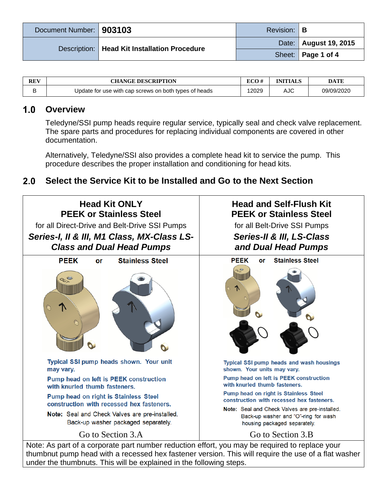| Document Number:   903103                      | Revision: <b>B</b> |                         |
|------------------------------------------------|--------------------|-------------------------|
| Description:   Head Kit Installation Procedure |                    | Date:   August 19, 2015 |
|                                                |                    | Sheet:   Page 1 of 4    |

| <b>REV</b> | <b>CHANGE DESCRIPTION</b>                             | ECO#  | INITIALS | DATE       |
|------------|-------------------------------------------------------|-------|----------|------------|
|            | Update for use with cap screws on both types of heads | 12029 | AJC      | 09/09/2020 |

#### $1.0$ **Overview**

Teledyne/SSI pump heads require regular service, typically seal and check valve replacement. The spare parts and procedures for replacing individual components are covered in other documentation.

Alternatively, Teledyne/SSI also provides a complete head kit to service the pump. This procedure describes the proper installation and conditioning for head kits.

### $2.0$ **Select the Service Kit to be Installed and Go to the Next Section**



thumbnut pump head with a recessed hex fastener version. This will require the use of a flat washer under the thumbnuts. This will be explained in the following steps.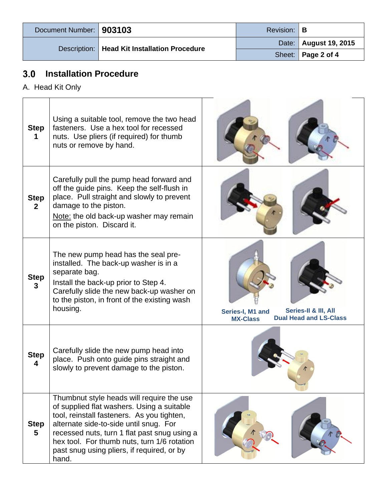| Document Number:   903103                      |  | Revision: <b>B</b>      |                      |
|------------------------------------------------|--|-------------------------|----------------------|
| Description:   Head Kit Installation Procedure |  | Date:   August 19, 2015 |                      |
|                                                |  |                         | Sheet:   Page 2 of 4 |

## $3.0$ **Installation Procedure**

A. Head Kit Only

| <b>Step</b><br>1              | Using a suitable tool, remove the two head<br>fasteners. Use a hex tool for recessed<br>nuts. Use pliers (if required) for thumb<br>nuts or remove by hand.                                                                                                                                                                           |                                                                                              |
|-------------------------------|---------------------------------------------------------------------------------------------------------------------------------------------------------------------------------------------------------------------------------------------------------------------------------------------------------------------------------------|----------------------------------------------------------------------------------------------|
| <b>Step</b><br>$\overline{2}$ | Carefully pull the pump head forward and<br>off the guide pins. Keep the self-flush in<br>place. Pull straight and slowly to prevent<br>damage to the piston.<br>Note: the old back-up washer may remain<br>on the piston. Discard it.                                                                                                |                                                                                              |
| <b>Step</b><br>3              | The new pump head has the seal pre-<br>installed. The back-up washer is in a<br>separate bag.<br>Install the back-up prior to Step 4.<br>Carefully slide the new back-up washer on<br>to the piston, in front of the existing wash<br>housing.                                                                                        | Series-II & III, All<br>Series-I, M1 and<br><b>Dual Head and LS-Class</b><br><b>MX-Class</b> |
| <b>Step</b><br>4              | Carefully slide the new pump head into<br>place. Push onto guide pins straight and<br>slowly to prevent damage to the piston.                                                                                                                                                                                                         |                                                                                              |
| <b>Step</b><br>5              | Thumbnut style heads will require the use<br>of supplied flat washers. Using a suitable<br>tool, reinstall fasteners. As you tighten,<br>alternate side-to-side until snug. For<br>recessed nuts, turn 1 flat past snug using a<br>hex tool. For thumb nuts, turn 1/6 rotation<br>past snug using pliers, if required, or by<br>hand. |                                                                                              |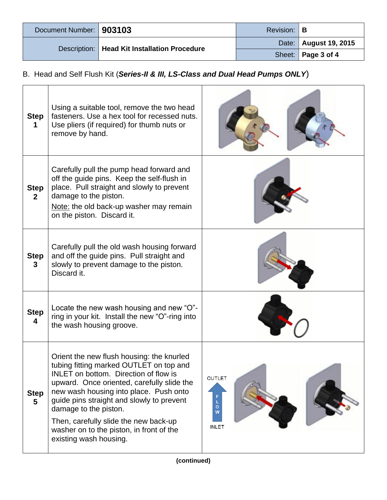| Document Number:   903103 |                                                | Revision: <b>B</b> |                         |
|---------------------------|------------------------------------------------|--------------------|-------------------------|
|                           | Description:   Head Kit Installation Procedure |                    | Date:   August 19, 2015 |
|                           |                                                |                    | Sheet:   Page 3 of 4    |

# B. Head and Self Flush Kit (*Series-II & III, LS-Class and Dual Head Pumps ONLY*)

| <b>Step</b>                 | Using a suitable tool, remove the two head<br>fasteners. Use a hex tool for recessed nuts.<br>Use pliers (if required) for thumb nuts or<br>remove by hand.                                                                                                                                                                                                                                                |                                              |
|-----------------------------|------------------------------------------------------------------------------------------------------------------------------------------------------------------------------------------------------------------------------------------------------------------------------------------------------------------------------------------------------------------------------------------------------------|----------------------------------------------|
| <b>Step</b><br>$\mathbf{2}$ | Carefully pull the pump head forward and<br>off the guide pins. Keep the self-flush in<br>place. Pull straight and slowly to prevent<br>damage to the piston.<br>Note: the old back-up washer may remain<br>on the piston. Discard it.                                                                                                                                                                     |                                              |
| <b>Step</b><br>3            | Carefully pull the old wash housing forward<br>and off the guide pins. Pull straight and<br>slowly to prevent damage to the piston.<br>Discard it.                                                                                                                                                                                                                                                         |                                              |
| <b>Step</b><br>4            | Locate the new wash housing and new "O"-<br>ring in your kit. Install the new "O"-ring into<br>the wash housing groove.                                                                                                                                                                                                                                                                                    |                                              |
| <b>Step</b><br>5            | Orient the new flush housing: the knurled<br>tubing fitting marked OUTLET on top and<br>INLET on bottom. Direction of flow is<br>upward. Once oriented, carefully slide the<br>new wash housing into place. Push onto<br>guide pins straight and slowly to prevent<br>damage to the piston.<br>Then, carefully slide the new back-up<br>washer on to the piston, in front of the<br>existing wash housing. | <b>OUTLET</b><br>L<br>o<br>W<br><b>INLET</b> |